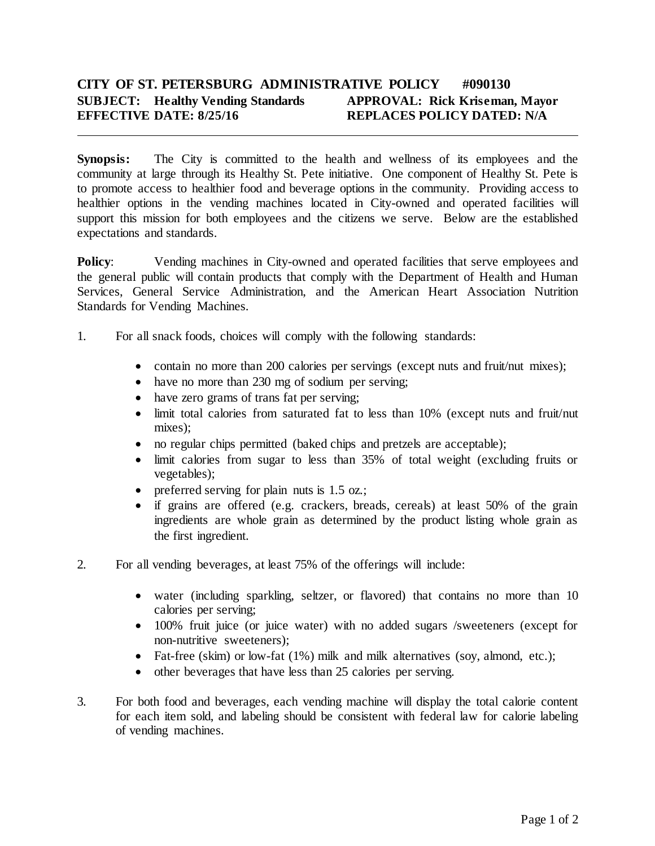## **CITY OF ST. PETERSBURG ADMINISTRATIVE POLICY #090130 SUBJECT: Healthy Vending Standards APPROVAL: Rick Kriseman, Mayor EFFECTIVE DATE: 8/25/16 REPLACES POLICY DATED: N/A**

**Synopsis:** The City is committed to the health and wellness of its employees and the community at large through its Healthy St. Pete initiative. One component of Healthy St. Pete is to promote access to healthier food and beverage options in the community. Providing access to healthier options in the vending machines located in City-owned and operated facilities will support this mission for both employees and the citizens we serve. Below are the established expectations and standards.

**Policy:** Vending machines in City-owned and operated facilities that serve employees and the general public will contain products that comply with the Department of Health and Human Services, General Service Administration, and the American Heart Association Nutrition Standards for Vending Machines.

- 1. For all snack foods, choices will comply with the following standards:
	- contain no more than 200 calories per servings (except nuts and fruit/nut mixes);
	- have no more than 230 mg of sodium per serving;
	- have zero grams of trans fat per serving;
	- limit total calories from saturated fat to less than 10% (except nuts and fruit/nut mixes);
	- no regular chips permitted (baked chips and pretzels are acceptable);
	- limit calories from sugar to less than 35% of total weight (excluding fruits or vegetables);
	- preferred serving for plain nuts is 1.5 oz.;
	- if grains are offered (e.g. crackers, breads, cereals) at least 50% of the grain ingredients are whole grain as determined by the product listing whole grain as the first ingredient.
- 2. For all vending beverages, at least 75% of the offerings will include:
	- water (including sparkling, seltzer, or flavored) that contains no more than 10 calories per serving;
	- 100% fruit juice (or juice water) with no added sugars /sweeteners (except for non-nutritive sweeteners);
	- Fat-free (skim) or low-fat (1%) milk and milk alternatives (soy, almond, etc.);
	- other beverages that have less than 25 calories per serving.
- 3. For both food and beverages, each vending machine will display the total calorie content for each item sold, and labeling should be consistent with federal law for calorie labeling of vending machines.